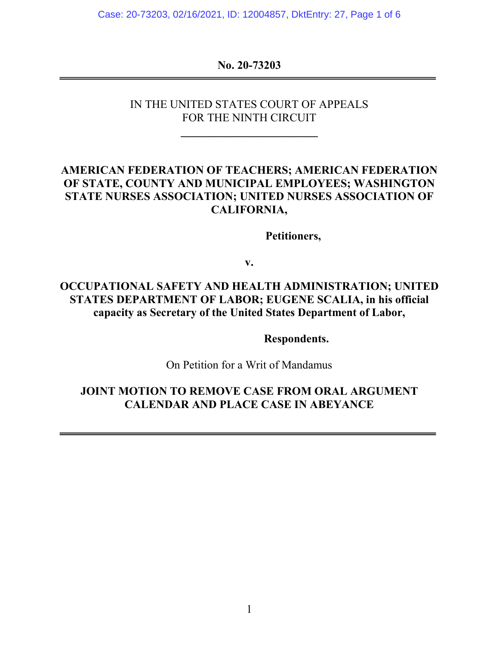Case: 20-73203, 02/16/2021, ID: 12004857, DktEntry: 27, Page 1 of 6

#### **No. 20-73203**

### IN THE UNITED STATES COURT OF APPEALS FOR THE NINTH CIRCUIT

**\_\_\_\_\_\_\_\_\_\_\_\_\_\_\_\_\_\_\_\_\_\_\_\_**

## **AMERICAN FEDERATION OF TEACHERS; AMERICAN FEDERATION OF STATE, COUNTY AND MUNICIPAL EMPLOYEES; WASHINGTON STATE NURSES ASSOCIATION; UNITED NURSES ASSOCIATION OF CALIFORNIA,**

**Petitioners,**

**v.**

# **OCCUPATIONAL SAFETY AND HEALTH ADMINISTRATION; UNITED STATES DEPARTMENT OF LABOR; EUGENE SCALIA, in his official capacity as Secretary of the United States Department of Labor,**

**Respondents.**

On Petition for a Writ of Mandamus

## **JOINT MOTION TO REMOVE CASE FROM ORAL ARGUMENT CALENDAR AND PLACE CASE IN ABEYANCE**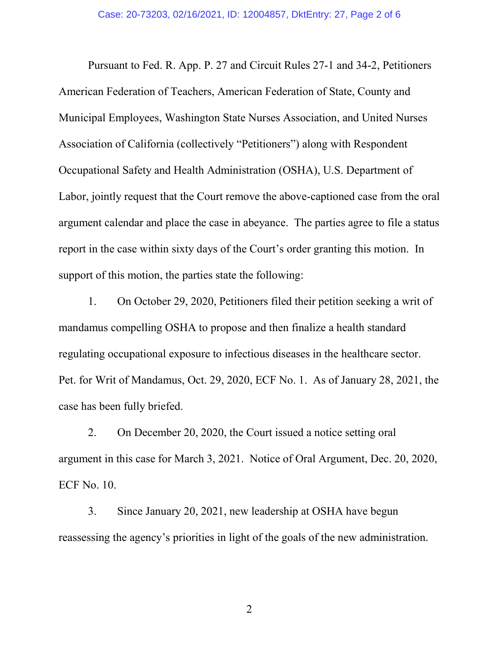Pursuant to Fed. R. App. P. 27 and Circuit Rules 27-1 and 34-2, Petitioners American Federation of Teachers, American Federation of State, County and Municipal Employees, Washington State Nurses Association, and United Nurses Association of California (collectively "Petitioners") along with Respondent Occupational Safety and Health Administration (OSHA), U.S. Department of Labor, jointly request that the Court remove the above-captioned case from the oral argument calendar and place the case in abeyance. The parties agree to file a status report in the case within sixty days of the Court's order granting this motion. In support of this motion, the parties state the following:

1. On October 29, 2020, Petitioners filed their petition seeking a writ of mandamus compelling OSHA to propose and then finalize a health standard regulating occupational exposure to infectious diseases in the healthcare sector. Pet. for Writ of Mandamus, Oct. 29, 2020, ECF No. 1. As of January 28, 2021, the case has been fully briefed.

2. On December 20, 2020, the Court issued a notice setting oral argument in this case for March 3, 2021. Notice of Oral Argument, Dec. 20, 2020, ECF No. 10.

3. Since January 20, 2021, new leadership at OSHA have begun reassessing the agency's priorities in light of the goals of the new administration.

2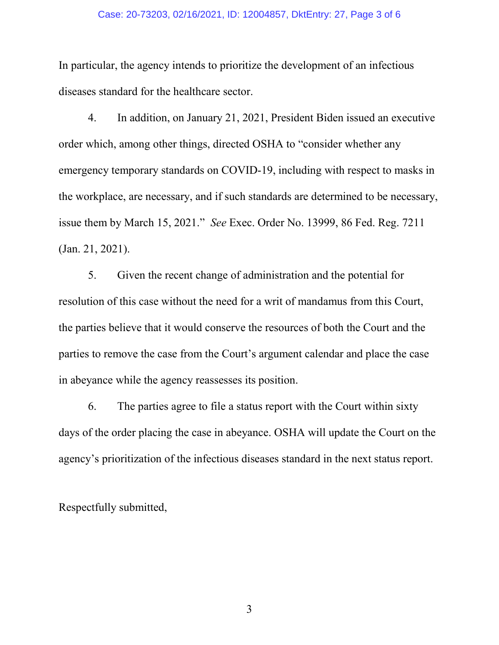#### Case: 20-73203, 02/16/2021, ID: 12004857, DktEntry: 27, Page 3 of 6

In particular, the agency intends to prioritize the development of an infectious diseases standard for the healthcare sector.

4. In addition, on January 21, 2021, President Biden issued an executive order which, among other things, directed OSHA to "consider whether any emergency temporary standards on COVID-19, including with respect to masks in the workplace, are necessary, and if such standards are determined to be necessary, issue them by March 15, 2021." *See* Exec. Order No. 13999, 86 Fed. Reg. 7211 (Jan. 21, 2021).

5. Given the recent change of administration and the potential for resolution of this case without the need for a writ of mandamus from this Court, the parties believe that it would conserve the resources of both the Court and the parties to remove the case from the Court's argument calendar and place the case in abeyance while the agency reassesses its position.

6. The parties agree to file a status report with the Court within sixty days of the order placing the case in abeyance. OSHA will update the Court on the agency's prioritization of the infectious diseases standard in the next status report.

Respectfully submitted,

3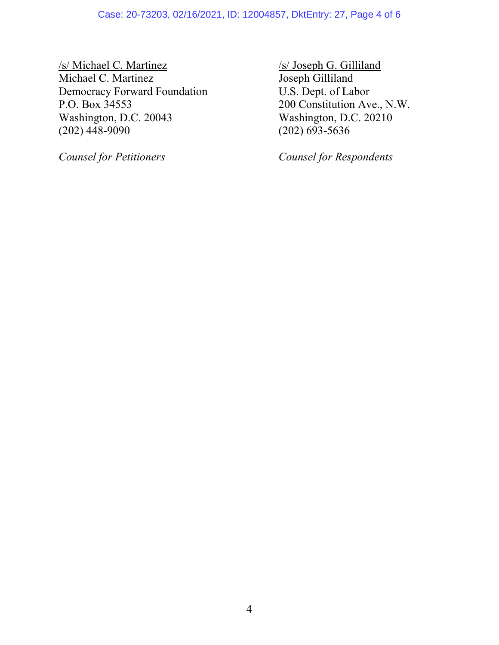#### Case: 20-73203, 02/16/2021, ID: 12004857, DktEntry: 27, Page 4 of 6

/s/ Michael C. Martinez /s/ Joseph G. Gilliland Michael C. Martinez<br>
Democracy Forward Foundation<br>
U.S. Dept. of Labor Democracy Forward Foundation<br>P.O. Box 34553 Washington, D.C. 20043 Washington, D.C. 20210<br>(202) 448-9090 (202) 693-5636  $(202)$  448-9090

200 Constitution Ave., N.W.

*Counsel for Petitioners Counsel for Respondents*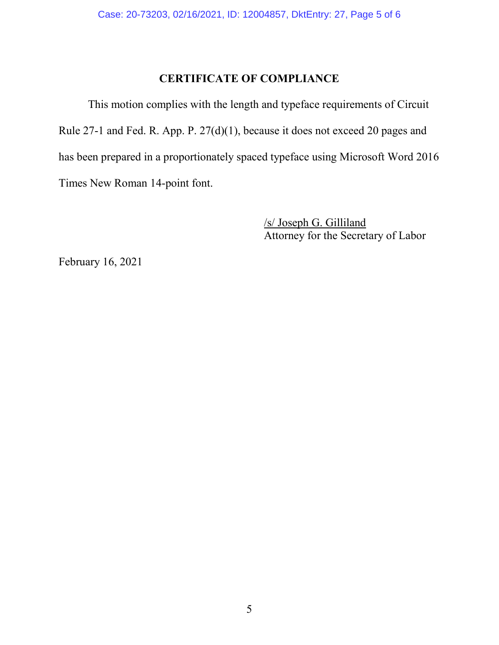## **CERTIFICATE OF COMPLIANCE**

This motion complies with the length and typeface requirements of Circuit Rule 27-1 and Fed. R. App. P. 27(d)(1), because it does not exceed 20 pages and has been prepared in a proportionately spaced typeface using Microsoft Word 2016 Times New Roman 14-point font.

> /s/ Joseph G. Gilliland Attorney for the Secretary of Labor

February 16, 2021